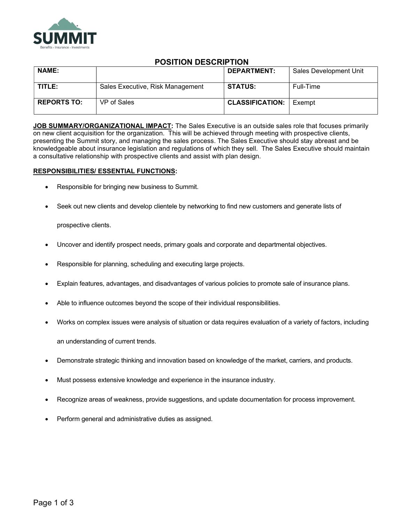

## POSITION DESCRIPTION

| <b>NAME:</b>       |                                  | DEPARTMENT:            | Sales Development Unit |
|--------------------|----------------------------------|------------------------|------------------------|
| TITLE:             | Sales Executive, Risk Management | <b>STATUS:</b>         | Full-Time              |
| <b>REPORTS TO:</b> | VP of Sales                      | <b>CLASSIFICATION:</b> | Exempt                 |

JOB SUMMARY/ORGANIZATIONAL IMPACT: The Sales Executive is an outside sales role that focuses primarily on new client acquisition for the organization. This will be achieved through meeting with prospective clients, presenting the Summit story, and managing the sales process. The Sales Executive should stay abreast and be knowledgeable about insurance legislation and regulations of which they sell. The Sales Executive should maintain a consultative relationship with prospective clients and assist with plan design.

## RESPONSIBILITIES/ ESSENTIAL FUNCTIONS:

- Responsible for bringing new business to Summit.
- Seek out new clients and develop clientele by networking to find new customers and generate lists of

prospective clients.

- Uncover and identify prospect needs, primary goals and corporate and departmental objectives.
- Responsible for planning, scheduling and executing large projects.
- Explain features, advantages, and disadvantages of various policies to promote sale of insurance plans.
- Able to influence outcomes beyond the scope of their individual responsibilities.
- Works on complex issues were analysis of situation or data requires evaluation of a variety of factors, including

an understanding of current trends.

- Demonstrate strategic thinking and innovation based on knowledge of the market, carriers, and products.
- Must possess extensive knowledge and experience in the insurance industry.
- Recognize areas of weakness, provide suggestions, and update documentation for process improvement.
- Perform general and administrative duties as assigned.